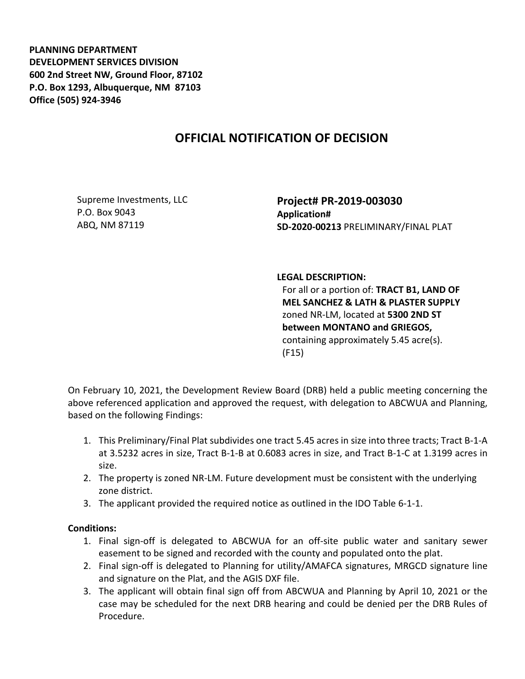**PLANNING DEPARTMENT DEVELOPMENT SERVICES DIVISION 600 2nd Street NW, Ground Floor, 87102 P.O. Box 1293, Albuquerque, NM 87103 Office (505) 924-3946** 

## **OFFICIAL NOTIFICATION OF DECISION**

Supreme Investments, LLC P.O. Box 9043 ABQ, NM 87119

**Project# PR-2019-003030 Application# SD-2020-00213** PRELIMINARY/FINAL PLAT

## **LEGAL DESCRIPTION:**

For all or a portion of: **TRACT B1, LAND OF MEL SANCHEZ & LATH & PLASTER SUPPLY**  zoned NR-LM, located at **5300 2ND ST between MONTANO and GRIEGOS,**  containing approximately 5.45 acre(s). (F15)

On February 10, 2021, the Development Review Board (DRB) held a public meeting concerning the above referenced application and approved the request, with delegation to ABCWUA and Planning, based on the following Findings:

- 1. This Preliminary/Final Plat subdivides one tract 5.45 acres in size into three tracts; Tract B-1-A at 3.5232 acres in size, Tract B-1-B at 0.6083 acres in size, and Tract B-1-C at 1.3199 acres in size.
- 2. The property is zoned NR-LM. Future development must be consistent with the underlying zone district.
- 3. The applicant provided the required notice as outlined in the IDO Table 6-1-1.

## **Conditions:**

- 1. Final sign-off is delegated to ABCWUA for an off-site public water and sanitary sewer easement to be signed and recorded with the county and populated onto the plat.
- 2. Final sign-off is delegated to Planning for utility/AMAFCA signatures, MRGCD signature line and signature on the Plat, and the AGIS DXF file.
- 3. The applicant will obtain final sign off from ABCWUA and Planning by April 10, 2021 or the case may be scheduled for the next DRB hearing and could be denied per the DRB Rules of Procedure.